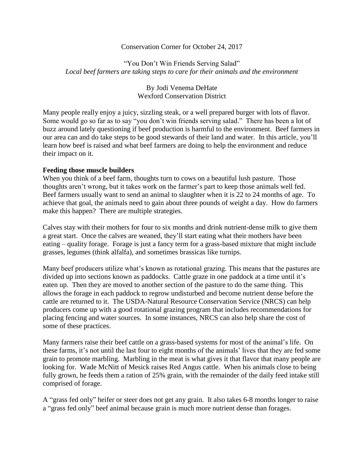#### Conservation Corner for October 24, 2017

"You Don't Win Friends Serving Salad" *Local beef farmers are taking steps to care for their animals and the environment*

> By Jodi Venema DeHate Wexford Conservation District

Many people really enjoy a juicy, sizzling steak, or a well prepared burger with lots of flavor. Some would go so far as to say "you don't win friends serving salad." There has been a lot of buzz around lately questioning if beef production is harmful to the environment. Beef farmers in our area can and do take steps to be good stewards of their land and water. In this article, you'll learn how beef is raised and what beef farmers are doing to help the environment and reduce their impact on it.

### **Feeding those muscle builders**

When you think of a beef farm, thoughts turn to cows on a beautiful lush pasture. Those thoughts aren't wrong, but it takes work on the farmer's part to keep those animals well fed. Beef farmers usually want to send an animal to slaughter when it is 22 to 24 months of age. To achieve that goal, the animals need to gain about three pounds of weight a day. How do farmers make this happen? There are multiple strategies.

Calves stay with their mothers for four to six months and drink nutrient-dense milk to give them a great start. Once the calves are weaned, they'll start eating what their mothers have been eating – quality forage. Forage is just a fancy term for a grass-based mixture that might include grasses, legumes (think alfalfa), and sometimes brassicas like turnips.

Many beef producers utilize what's known as rotational grazing. This means that the pastures are divided up into sections known as paddocks. Cattle graze in one paddock at a time until it's eaten up. Then they are moved to another section of the pasture to do the same thing. This allows the forage in each paddock to regrow undisturbed and become nutrient dense before the cattle are returned to it. The USDA-Natural Resource Conservation Service (NRCS) can help producers come up with a good rotational grazing program that includes recommendations for placing fencing and water sources. In some instances, NRCS can also help share the cost of some of these practices.

Many farmers raise their beef cattle on a grass-based systems for most of the animal's life. On these farms, it's not until the last four to eight months of the animals' lives that they are fed some grain to promote marbling. Marbling in the meat is what gives it that flavor that many people are looking for. Wade McNitt of Mesick raises Red Angus cattle. When his animals close to being fully grown, he feeds them a ration of 25% grain, with the remainder of the daily feed intake still comprised of forage.

A "grass fed only" heifer or steer does not get any grain. It also takes 6-8 months longer to raise a "grass fed only" beef animal because grain is much more nutrient dense than forages.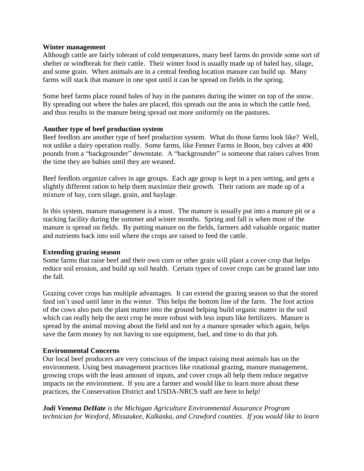#### **Winter management**

Although cattle are fairly tolerant of cold temperatures, many beef farms do provide some sort of shelter or windbreak for their cattle. Their winter food is usually made up of baled hay, silage, and some grain. When animals are in a central feeding location manure can build up. Many farms will stack that manure in one spot until it can be spread on fields in the spring.

Some beef farms place round bales of hay in the pastures during the winter on top of the snow. By spreading out where the bales are placed, this spreads out the area in which the cattle feed, and thus results in the manure being spread out more uniformly on the pastures.

## **Another type of beef production system**

Beef feedlots are another type of beef production system. What do those farms look like? Well, not unlike a dairy operation really. Some farms, like Fenner Farms in Boon, buy calves at 400 pounds from a "backgrounder" downstate. A "backgrounder" is someone that raises calves from the time they are babies until they are weaned.

Beef feedlots organize calves in age groups. Each age group is kept in a pen setting, and gets a slightly different ration to help them maximize their growth. Their rations are made up of a mixture of hay, corn silage, grain, and haylage.

In this system, manure management is a must. The manure is usually put into a manure pit or a stacking facility during the summer and winter months. Spring and fall is when most of the manure is spread on fields. By putting manure on the fields, farmers add valuable organic matter and nutrients back into soil where the crops are raised to feed the cattle.

## **Extending grazing season**

Some farms that raise beef and their own corn or other grain will plant a cover crop that helps reduce soil erosion, and build up soil health. Certain types of cover crops can be grazed late into the fall.

Grazing cover crops has multiple advantages. It can extend the grazing season so that the stored feed isn't used until later in the winter. This helps the bottom line of the farm. The foot action of the cows also puts the plant matter into the ground helping build organic matter in the soil which can really help the next crop be more robust with less inputs like fertilizers. Manure is spread by the animal moving about the field and not by a manure spreader which again, helps save the farm money by not having to use equipment, fuel, and time to do that job.

## **Environmental Concerns**

Our local beef producers are very conscious of the impact raising meat animals has on the environment. Using best management practices like rotational grazing, manure management, growing crops with the least amount of inputs, and cover crops all help them reduce negative impacts on the environment. If you are a farmer and would like to learn more about these practices, the Conservation District and USDA-NRCS staff are here to help!

*Jodi Venema DeHate is the Michigan Agriculture Environmental Assurance Program technician for Wexford, Missaukee, Kalkaska, and Crawford counties. If you would like to learn*